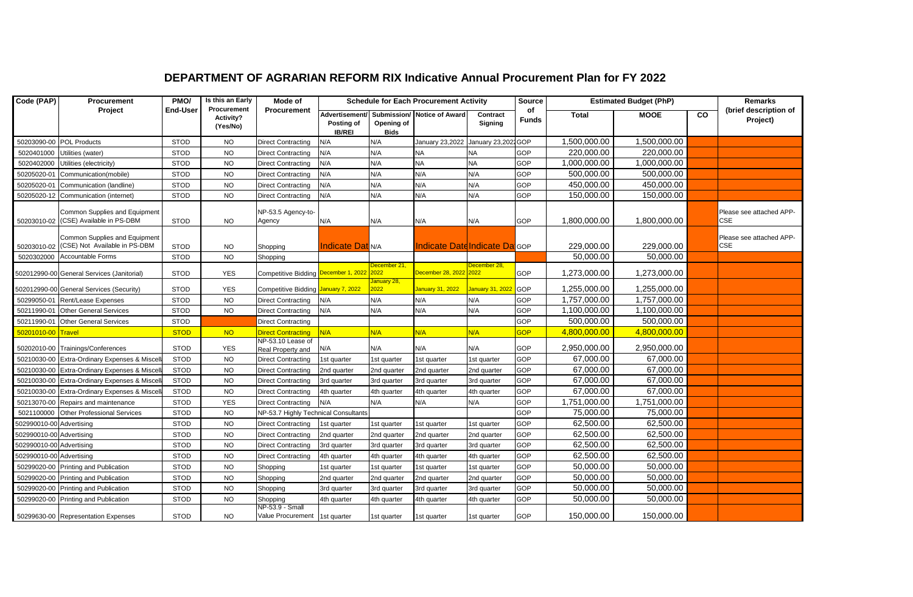## **DEPARTMENT OF AGRARIAN REFORM RIX Indicative Annual Procurement Plan for FY 2022**

| Code (PAP)               | Procurement                                                    | PMO/            | Is this an Early                     | Mode of                                          | <b>Schedule for Each Procurement Activity</b> |                           |                                            |                         | <b>Source</b><br><b>Estimated Budget (PhP)</b> |                        |              | Remarks        |                                        |
|--------------------------|----------------------------------------------------------------|-----------------|--------------------------------------|--------------------------------------------------|-----------------------------------------------|---------------------------|--------------------------------------------|-------------------------|------------------------------------------------|------------------------|--------------|----------------|----------------------------------------|
|                          | Project                                                        | <b>End-User</b> | Procurement<br>Activity?<br>(Yes/No) | Procurement                                      | Posting of<br><b>IB/REI</b>                   | Opening of<br><b>Bids</b> | Advertisement/ Submission/ Notice of Award | Contract<br>Signing     | of<br><b>Funds</b>                             | <b>Total</b>           | <b>MOOE</b>  | $\overline{c}$ | (brief description of<br>Project)      |
|                          | 50203090-00 POL Products                                       | <b>STOD</b>     | <b>NO</b>                            | <b>Direct Contracting</b>                        | N/A                                           | N/A                       | January 23,2022                            | January 23,2022 GOP     |                                                | 1,500,000.00           | 1,500,000.00 |                |                                        |
| 5020401000               | Utilities (water)                                              | <b>STOD</b>     | <b>NO</b>                            | <b>Direct Contracting</b>                        | N/A                                           | N/A                       | <b>NA</b>                                  | <b>NA</b>               | <b>GOP</b>                                     | 220,000.00             | 220,000.00   |                |                                        |
| 5020402000               | Utilities (electricity)                                        | <b>STOD</b>     | <b>NO</b>                            | <b>Direct Contracting</b>                        | N/A                                           | N/A                       | <b>NA</b>                                  | <b>NA</b>               | GOP                                            | 1,000,000.00           | 1,000,000.00 |                |                                        |
| 50205020-01              | Communication(mobile)                                          | <b>STOD</b>     | <b>NO</b>                            | <b>Direct Contracting</b>                        | N/A                                           | N/A                       | N/A                                        | N/A                     | <b>GOP</b>                                     | 500,000.00             | 500,000.00   |                |                                        |
| 50205020-01              | Communication (landline)                                       | <b>STOD</b>     | <b>NO</b>                            | <b>Direct Contracting</b>                        | N/A                                           | N/A                       | N/A                                        | N/A                     | <b>GOP</b>                                     | 450,000.00             | 450,000.00   |                |                                        |
|                          | 50205020-12 Communication (internet)                           | <b>STOD</b>     | <b>NO</b>                            | <b>Direct Contracting</b>                        | N/A                                           | N/A                       | N/A                                        | N/A                     | GOP                                            | 150,000.00             | 150,000.00   |                |                                        |
| 50203010-02              | Common Supplies and Equipment<br>(CSE) Available in PS-DBM     | <b>STOD</b>     | <b>NO</b>                            | NP-53.5 Agency-to-<br>Agency                     | N/A                                           | N/A                       | N/A                                        | N/A                     | <b>GOP</b>                                     | 1,800,000.00           | 1,800,000.00 |                | Please see attached APP-<br>CSE        |
| 50203010-02              | Common Supplies and Equipment<br>(CSE) Not Available in PS-DBM | <b>STOD</b>     | <b>NO</b>                            | Shopping                                         | <b>Indicate Dat</b> N/A                       |                           | <b>Indicate Date Indicate Da</b> GOP       |                         |                                                | 229,000.00             | 229,000.00   |                | Please see attached APP-<br><b>CSE</b> |
| 5020302000               | Accountable Forms                                              | <b>STOD</b>     | <b>NO</b>                            | Shopping                                         |                                               |                           |                                            |                         |                                                | 50,000.00              | 50,000.00    |                |                                        |
|                          | 502012990-00 General Services (Janitorial)                     | <b>STOD</b>     | <b>YES</b>                           | Competitive Bidding December 1, 2022 2022        |                                               | December 21,              | December 28, 2022 2022                     | December 28,            | GOP                                            | 1,273,000.00           | 1,273,000.00 |                |                                        |
|                          | 502012990-00 General Services (Security)                       | <b>STOD</b>     | <b>YES</b>                           | Competitive Bidding January 7, 2022              |                                               | January 28,<br>2022       | January 31, 2022                           | <b>January 31, 2022</b> | <b>GOP</b>                                     | 1,255,000.00           | 1,255,000.00 |                |                                        |
|                          | 50299050-01 Rent/Lease Expenses                                | <b>STOD</b>     | <b>NO</b>                            | <b>Direct Contracting</b>                        | N/A                                           | N/A                       | N/A                                        | N/A                     | GOP                                            | 1,757,000.00           | 1,757,000.00 |                |                                        |
|                          | 50211990-01 Other General Services                             | <b>STOD</b>     | <b>NO</b>                            | <b>Direct Contracting</b>                        | N/A                                           | N/A                       | N/A                                        | N/A                     | GOP                                            | 1,100,000.00           | 1,100,000.00 |                |                                        |
|                          | 50211990-01 Other General Services                             | <b>STOD</b>     |                                      | <b>Direct Contracting</b>                        |                                               |                           |                                            |                         | <b>GOP</b>                                     | 500,000.00             | 500,000.00   |                |                                        |
| 50201010-00 Travel       |                                                                | <b>STOD</b>     | <b>NO</b>                            | <b>Direct Contracting</b>                        | N/A                                           | N/A                       | N/A                                        | N/A                     | <b>GOP</b>                                     | 4,800,000.00           | 4,800,000.00 |                |                                        |
|                          | 50202010-00 Trainings/Conferences                              | <b>STOD</b>     | <b>YES</b>                           | NP-53.10 Lease of<br>Real Property and           | N/A                                           | N/A                       | N/A                                        | N/A                     | <b>GOP</b>                                     | 2,950,000.00           | 2,950,000.00 |                |                                        |
|                          | 50210030-00 Extra-Ordinary Expenses & Miscel                   | <b>STOD</b>     | <b>NO</b>                            | <b>Direct Contracting</b>                        | 1st quarter                                   | 1st quarter               | 1st quarter                                | 1st quarter             | <b>GOP</b>                                     | 67,000.00              | 67,000.00    |                |                                        |
|                          | 50210030-00 Extra-Ordinary Expenses & Misce                    | <b>STOD</b>     | <b>NO</b>                            | <b>Direct Contracting</b>                        | 2nd quarter                                   | 2nd quarter               | 2nd quarter                                | 2nd quarter             | GOP                                            | 67,000.00              | 67,000.00    |                |                                        |
|                          | 50210030-00 Extra-Ordinary Expenses & Miscel                   | <b>STOD</b>     | <b>NO</b>                            | <b>Direct Contracting</b>                        | 3rd quarter                                   | 3rd quarter               | 3rd quarter                                | 3rd quarter             | <b>GOP</b>                                     | 67,000.00              | 67,000.00    |                |                                        |
|                          | 50210030-00 Extra-Ordinary Expenses & Misce                    | <b>STOD</b>     | <b>NO</b>                            | <b>Direct Contracting</b>                        | 4th quarter                                   | 4th quarter               | 4th quarter                                | 4th quarter             | GOP                                            | 67,000.00              | 67,000.00    |                |                                        |
|                          | 50213070-00 Repairs and maintenance                            | <b>STOD</b>     | <b>YES</b>                           | <b>Direct Contracting</b>                        | N/A                                           | N/A                       | N/A                                        | N/A                     | <b>GOP</b>                                     | 1,751,000.00           | 1,751,000.00 |                |                                        |
| 5021100000               | <b>Other Professional Services</b>                             | <b>STOD</b>     | <b>NO</b>                            | NP-53.7 Highly Technical Consultants             |                                               |                           |                                            |                         | GOP                                            | 75,000.00              | 75,000.00    |                |                                        |
| 502990010-00 Advertising |                                                                | <b>STOD</b>     | <b>NO</b>                            | <b>Direct Contracting</b>                        | 1st quarter                                   | 1st quarter               | 1st quarter                                | 1st quarter             | <b>GOP</b>                                     | 62,500.00              | 62,500.00    |                |                                        |
| 502990010-00 Advertising |                                                                | <b>STOD</b>     | <b>NO</b>                            | <b>Direct Contracting</b>                        | 2nd quarter                                   | 2nd quarter               | 2nd quarter                                | 2nd quarter             | GOP                                            | 62,500.00              | 62,500.00    |                |                                        |
| 502990010-00 Advertising |                                                                | <b>STOD</b>     | <b>NO</b>                            | <b>Direct Contracting</b>                        | 3rd quarter                                   | 3rd quarter               | 3rd quarter                                | 3rd quarter             | <b>GOP</b>                                     | 62,500.00              | 62,500.00    |                |                                        |
| 502990010-00 Advertising |                                                                | <b>STOD</b>     | <b>NO</b>                            | <b>Direct Contracting</b>                        | 4th quarter                                   | 4th quarter               | 4th quarter                                | 4th quarter             | <b>GOP</b>                                     | 62,500.00              | 62,500.00    |                |                                        |
|                          | 50299020-00 Printing and Publication                           | <b>STOD</b>     | <b>NO</b>                            | Shopping                                         | 1st quarter                                   | 1st quarter               | 1st quarter                                | 1st quarter             | <b>GOP</b>                                     | $\overline{50,000.00}$ | 50,000.00    |                |                                        |
|                          | 50299020-00 Printing and Publication                           | <b>STOD</b>     | <b>NO</b>                            | Shopping                                         | 2nd quarter                                   | 2nd quarter               | 2nd quarter                                | 2nd quarter             | GOP                                            | 50,000.00              | 50,000.00    |                |                                        |
|                          | 50299020-00 Printing and Publication                           | <b>STOD</b>     | <b>NO</b>                            | Shopping                                         | 3rd quarter                                   | 3rd quarter               | 3rd quarter                                | 3rd quarter             | GOP                                            | 50,000.00              | 50,000.00    |                |                                        |
|                          | 50299020-00 Printing and Publication                           | <b>STOD</b>     | <b>NO</b>                            | Shopping                                         | 4th quarter                                   | 4th quarter               | 4th quarter                                | 4th quarter             | <b>GOP</b>                                     | 50,000.00              | 50,000.00    |                |                                        |
|                          | 50299630-00 Representation Expenses                            | <b>STOD</b>     | <b>NO</b>                            | NP-53.9 - Small<br>Value Procurement 1st quarter |                                               | 1st quarter               | 1st quarter                                | 1st quarter             | GOP                                            | 150,000.00             | 150,000.00   |                |                                        |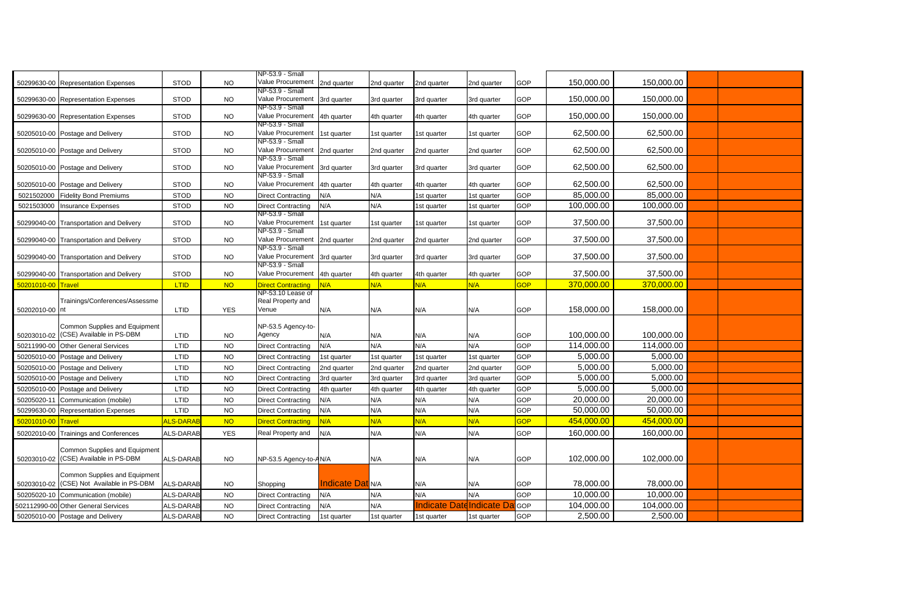|             |                                                                       |                  |            | NP-53.9 - Small                                  |                         |             |              |             |            |            |            |  |
|-------------|-----------------------------------------------------------------------|------------------|------------|--------------------------------------------------|-------------------------|-------------|--------------|-------------|------------|------------|------------|--|
| 50299630-00 | <b>Representation Expenses</b>                                        | <b>STOD</b>      | <b>NO</b>  | Value Procurement                                | 2nd quarter             | 2nd quarter | 2nd quarter  | 2nd quarter | GOP        | 150,000.00 | 150,000.00 |  |
|             | 50299630-00 Representation Expenses                                   | <b>STOD</b>      | <b>NO</b>  | NP-53.9 - Small<br>Value Procurement             | 3rd quarter             | 3rd quarter | 3rd quarter  | 3rd quarter | GOP        | 150,000.00 | 150,000.00 |  |
|             | 50299630-00 Representation Expenses                                   | <b>STOD</b>      | <b>NO</b>  | NP-53.9 - Small<br>Value Procurement 4th quarter |                         | 4th quarter | 4th quarter  | 4th quarter | GOP        | 150,000.00 | 150,000.00 |  |
|             | 50205010-00 Postage and Delivery                                      | <b>STOD</b>      | <b>NO</b>  | NP-53.9 - Small<br>Value Procurement 1st quarter |                         | 1st quarter | 1st quarter  | 1st quarter | GOP        | 62,500.00  | 62,500.00  |  |
|             | 50205010-00 Postage and Delivery                                      | <b>STOD</b>      | <b>NO</b>  | NP-53.9 - Small<br>Value Procurement             | 2nd quarter             | 2nd quarter | 2nd quarter  | 2nd quarter | GOP        | 62,500.00  | 62,500.00  |  |
|             | 50205010-00 Postage and Delivery                                      | <b>STOD</b>      | <b>NO</b>  | NP-53.9 - Small<br>Value Procurement             | 3rd quarter             | 3rd quarter | 3rd quarter  | 3rd quarter | GOP        | 62,500.00  | 62,500.00  |  |
|             | 50205010-00 Postage and Delivery                                      | <b>STOD</b>      | <b>NO</b>  | NP-53.9 - Small<br>Value Procurement             | 4th quarter             | 4th quarter | 4th quarter  | 4th quarter | GOP        | 62,500.00  | 62,500.00  |  |
| 5021502000  | <b>Fidelity Bond Premiums</b>                                         | <b>STOD</b>      | <b>NO</b>  | <b>Direct Contracting</b>                        | N/A                     | N/A         | 1st quarter  | 1st quarter | <b>GOP</b> | 85,000.00  | 85,000.00  |  |
| 5021503000  | <b>Insurance Expenses</b>                                             | <b>STOD</b>      | <b>NO</b>  | <b>Direct Contracting</b>                        | N/A                     | N/A         | Ist quarter  | 1st quarter | GOP        | 100,000.00 | 100,000.00 |  |
| 50299040-00 | <b>Transportation and Delivery</b>                                    | <b>STOD</b>      | <b>NO</b>  | NP-53.9 - Small<br>Value Procurement             | 1st quarter             | 1st quarter | 1st quarter  | 1st quarter | GOP        | 37,500.00  | 37,500.00  |  |
| 50299040-00 | <b>Transportation and Delivery</b>                                    | <b>STOD</b>      | <b>NO</b>  | NP-53.9 - Small<br>Value Procurement 2nd quarter |                         | 2nd quarter | 2nd quarter  | 2nd quarter | GOP        | 37,500.00  | 37,500.00  |  |
|             | 50299040-00 Transportation and Delivery                               | <b>STOD</b>      | <b>NO</b>  | NP-53.9 - Small<br>Value Procurement             | 3rd quarter             | 3rd quarter | 3rd quarter  | 3rd quarter | GOP        | 37,500.00  | 37,500.00  |  |
|             | 50299040-00 Transportation and Delivery                               | <b>STOD</b>      | <b>NO</b>  | NP-53.9 - Small<br>Value Procurement             | 4th quarter             | 4th quarter | 4th quarter  | 4th quarter | GOP        | 37,500.00  | 37,500.00  |  |
| 50201010-00 | <b>Travel</b>                                                         | LTID             | <b>NO</b>  | <b>Direct Contracting</b>                        | N/A                     | N/A         | N/A          | N/A         | <b>GOP</b> | 370,000.00 | 370,000.00 |  |
| 50202010-00 | Trainings/Conferences/Assessme                                        | LTID             | <b>YES</b> | NP-53.10 Lease of<br>Real Property and<br>Venue  | N/A                     | N/A         | N/A          | N/A         | GOP        | 158,000.00 | 158,000.00 |  |
|             | Common Supplies and Equipment                                         |                  |            | NP-53.5 Agency-to-                               |                         |             |              |             |            |            |            |  |
| 50203010-02 | (CSE) Available in PS-DBM                                             | LTID             | <b>NO</b>  | Agency                                           | N/A                     | N/A         | N/A          | N/A         | GOP        | 100,000.00 | 100,000.00 |  |
| 50211990-00 | <b>Other General Services</b>                                         | LTID             | <b>NO</b>  | <b>Direct Contracting</b>                        | N/A                     | N/A         | N/A          | N/A         | GOP        | 114,000.00 | 114,000.00 |  |
| 50205010-00 | Postage and Delivery                                                  | LTID             | <b>NO</b>  | <b>Direct Contracting</b>                        | Ist quarter             | 1st quarter | 1st quarter  | 1st quarter | GOP        | 5,000.00   | 5,000.00   |  |
| 50205010-00 | Postage and Delivery                                                  | LTID             | <b>NO</b>  | <b>Direct Contracting</b>                        | 2nd quarter             | 2nd quarter | 2nd quarter  | 2nd quarter | GOP        | 5,000.00   | 5,000.00   |  |
| 50205010-00 | Postage and Delivery                                                  | LTID             | <b>NO</b>  | <b>Direct Contracting</b>                        | 3rd quarter             | 3rd quarter | 3rd quarter  | 3rd quarter | GOP        | 5,000.00   | 5,000.00   |  |
| 50205010-00 | Postage and Delivery                                                  | LTID             | <b>NO</b>  | <b>Direct Contracting</b>                        | 4th quarter             | 4th quarter | 4th quarter  | 4th quarter | GOP        | 5,000.00   | 5,000.00   |  |
| 50205020-11 | Communication (mobile)                                                | LTID             | <b>NO</b>  | <b>Direct Contracting</b>                        | N/A                     | N/A         | N/A          | N/A         | GOP        | 20,000.00  | 20,000.00  |  |
| 50299630-00 | <b>Representation Expenses</b>                                        | LTID             | <b>NO</b>  | <b>Direct Contracting</b>                        | N/A                     | N/A         | N/A          | N/A         | GOP        | 50,000.00  | 50,000.00  |  |
| 50201010-00 | Travel                                                                | <b>ILS-DARA</b>  | <b>NO</b>  | <b>Direct Contracting</b>                        | N/A                     | N/A         | N/A          | N/A         | <b>GOP</b> | 454,000.00 | 454,000.00 |  |
| 50202010-00 | <b>Trainings and Conferences</b>                                      | ALS-DARAB        | <b>YES</b> | Real Property and                                | N/A                     | N/A         | N/A          | N/A         | GOP        | 160,000.00 | 160,000.00 |  |
| 50203010-02 | Common Supplies and Equipment<br>(CSE) Available in PS-DBM            | <b>ALS-DARAB</b> | <b>NO</b>  | NP-53.5 Agency-to-AN/A                           |                         | N/A         | N/A          | N/A         | GOP        | 102,000.00 | 102,000.00 |  |
| 50203010-02 | <b>Common Supplies and Equipment</b><br>(CSE) Not Available in PS-DBM | <b>ALS-DARAB</b> | <b>NO</b>  | Shopping                                         | <b>Indicate Dat</b> N/A |             | N/A          | N/A         | GOP        | 78,000.00  | 78,000.00  |  |
| 50205020-10 | Communication (mobile)                                                | <b>ALS-DARAB</b> | <b>NO</b>  | <b>Direct Contracting</b>                        | N/A                     | N/A         | N/A          | N/A         | GOP        | 10,000.00  | 10,000.00  |  |
|             | 502112990-00 Other General Services                                   | ALS-DARAB        | <b>NO</b>  | <b>Direct Contracting</b>                        | N/A                     | N/A         | ndicate Date | Indicate D  | GOP        | 104,000.00 | 104,000.00 |  |
|             | 50205010-00 Postage and Delivery                                      | <b>ALS-DARAB</b> | <b>NO</b>  | <b>Direct Contracting</b>                        | 1st quarter             | 1st quarter | 1st quarter  | 1st quarter | GOP        | 2,500.00   | 2,500.00   |  |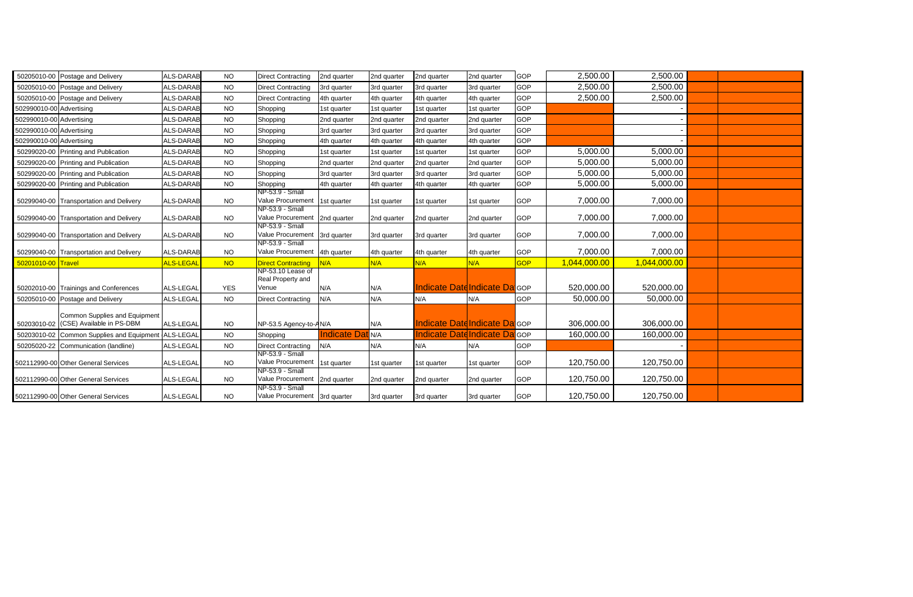|                          | 50205010-00 Postage and Delivery                                       | <b>ALS-DARAB</b> | <b>NO</b>  | <b>Direct Contracting</b>                        | 2nd quarter              | 2nd quarter | 2nd quarter                           | 2nd quarter | <b>GOP</b> | 2,500.00     | 2,500.00     |  |
|--------------------------|------------------------------------------------------------------------|------------------|------------|--------------------------------------------------|--------------------------|-------------|---------------------------------------|-------------|------------|--------------|--------------|--|
|                          | 50205010-00 Postage and Delivery                                       | ALS-DARAB        | <b>NO</b>  | <b>Direct Contracting</b>                        | 3rd quarter              | 3rd quarter | 3rd quarter                           | 3rd quarter | <b>GOP</b> | 2,500.00     | 2,500.00     |  |
|                          | 50205010-00 Postage and Delivery                                       | <b>ALS-DARAB</b> | <b>NO</b>  | <b>Direct Contracting</b>                        | 4th quarter              | 4th quarter | 4th quarter                           | 4th quarter | GOP        | 2,500.00     | 2,500.00     |  |
| 502990010-00 Advertising |                                                                        | <b>ALS-DARAB</b> | <b>NO</b>  | Shopping                                         | 1st quarter              | 1st quarter | 1st quarter                           | 1st quarter | GOP        |              |              |  |
| 502990010-00 Advertising |                                                                        | ALS-DARAB        | <b>NO</b>  | Shopping                                         | 2nd quarter              | 2nd quarter | 2nd quarter                           | 2nd quarter | GOP        |              |              |  |
| 502990010-00 Advertising |                                                                        | ALS-DARAB        | <b>NO</b>  | Shopping                                         | 3rd quarter              | 3rd quarter | 3rd quarter                           | 3rd quarter | GOP        |              |              |  |
| 502990010-00 Advertising |                                                                        | <b>ALS-DARAB</b> | <b>NO</b>  | Shopping                                         | 4th quarter              | 4th quarter | 4th quarter                           | 4th quarter | <b>GOP</b> |              |              |  |
|                          | 50299020-00 Printing and Publication                                   | <b>ALS-DARAB</b> | <b>NO</b>  | Shopping                                         | 1st quarter              | 1st quarter | 1st quarter                           | 1st quarter | GOP        | 5,000.00     | 5,000.00     |  |
|                          | 50299020-00 Printing and Publication                                   | <b>ALS-DARAB</b> | <b>NO</b>  | Shopping                                         | 2nd quarter              | 2nd quarter | 2nd quarter                           | 2nd quarter | <b>GOP</b> | 5,000.00     | 5,000.00     |  |
|                          | 50299020-00 Printing and Publication                                   | <b>ALS-DARAB</b> | <b>NO</b>  | Shopping                                         | 3rd quarter              | 3rd quarter | 3rd quarter                           | 3rd quarter | GOP        | 5,000.00     | 5.000.00     |  |
|                          | 50299020-00 Printing and Publication                                   | <b>ALS-DARAB</b> | <b>NO</b>  | Shopping                                         | 4th quarter              | 4th quarter | 4th quarter                           | 4th quarter | GOP        | 5,000.00     | 5,000.00     |  |
|                          | 50299040-00 Transportation and Delivery                                | <b>ALS-DARAB</b> | <b>NO</b>  | NP-53.9 - Small<br>Value Procurement             | 1st quarter              | 1st quarter | 1st quarter                           | 1st quarter | GOP        | 7,000.00     | 7,000.00     |  |
|                          | 50299040-00 Transportation and Delivery                                | <b>ALS-DARAB</b> | <b>NO</b>  | NP-53.9 - Small<br>Value Procurement 2nd quarter |                          | 2nd quarter | 2nd quarter                           | 2nd quarter | <b>GOP</b> | 7,000.00     | 7,000.00     |  |
|                          | 50299040-00 Transportation and Delivery                                | ALS-DARAB        | <b>NO</b>  | NP-53.9 - Small<br>Value Procurement 3rd quarter |                          | 3rd quarter | 3rd quarter                           | 3rd quarter | <b>GOP</b> | 7,000.00     | 7,000.00     |  |
|                          | 50299040-00 Transportation and Delivery                                | <b>ALS-DARAB</b> | <b>NO</b>  | NP-53.9 - Small<br>Value Procurement 4th quarter |                          | 4th quarter | 4th quarter                           | 4th quarter | GOP        | 7,000.00     | 7,000.00     |  |
| 50201010-00 Travel       |                                                                        | ALS-LEGAI        | <b>NO</b>  | <b>Direct Contracting</b>                        | N/A                      | N/A         | N/A                                   | N/A         | <b>GOP</b> | 1,044,000.00 | 1,044,000.00 |  |
|                          | 50202010-00 Trainings and Conferences                                  | <b>ALS-LEGAL</b> | <b>YES</b> | NP-53.10 Lease of<br>Real Property and<br>Venue  | N/A                      | N/A         | Indicate Date Indicate Da GOP         |             |            | 520,000.00   | 520,000.00   |  |
|                          | 50205010-00 Postage and Delivery                                       | <b>ALS-LEGAI</b> | <b>NO</b>  | <b>Direct Contracting</b>                        | N/A                      | N/A         | N/A                                   | N/A         | GOP        | 50,000.00    | 50,000.00    |  |
|                          | Common Supplies and Equipment<br>50203010-02 (CSE) Available in PS-DBM | <b>ALS-LEGAL</b> | <b>NO</b>  | NP-53.5 Agency-to-AN/A                           |                          | N/A         | <b>Indicate Date Indicate Dat</b> GOP |             |            | 306,000.00   | 306.000.00   |  |
|                          | 50203010-02 Common Supplies and Equipment ALS-LEGAL                    |                  | <b>NO</b>  | Shopping                                         | <b>Indicate Dat</b> IN/A |             | Indicate DatdIndicate Da              |             | <b>GOP</b> | 160,000.00   | 160,000.00   |  |
|                          | 50205020-22 Communication (landline)                                   | <b>ALS-LEGAI</b> | <b>NO</b>  | <b>Direct Contracting</b>                        | N/A                      | N/A         | N/A                                   | N/A         | GOP        |              |              |  |
|                          | 502112990-00 Other General Services                                    | <b>ALS-LEGAL</b> | <b>NO</b>  | NP-53.9 - Small<br>Value Procurement 1st quarter |                          | 1st quarter | 1st quarter                           | 1st quarter | <b>GOP</b> | 120,750.00   | 120,750.00   |  |
|                          | 502112990-00 Other General Services                                    | <b>ALS-LEGAL</b> | <b>NO</b>  | NP-53.9 - Small<br>Value Procurement 2nd quarter |                          | 2nd quarter | 2nd quarter                           | 2nd quarter | GOP        | 120,750.00   | 120,750.00   |  |
|                          | 502112990-00 Other General Services                                    | <b>ALS-LEGAL</b> | <b>NO</b>  | NP-53.9 - Small<br>Value Procurement 3rd quarter |                          | 3rd quarter | 3rd quarter                           | 3rd quarter | <b>GOP</b> | 120,750.00   | 120,750.00   |  |